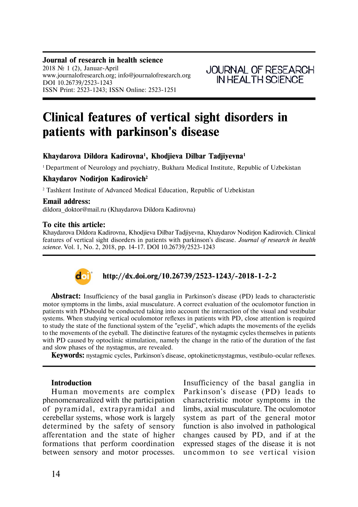#### **Journal of research in health science**

2018  $\mathcal{N}$  1 (2), Januar-April www.journalofresearch.org; info@journalofresearch.org DOI 10.26739/2523-1243 ISSN Print: 2523-1243; ISSN Online: 2523-1251

# **Clinical features of vertical sight disorders in patients with parkinson's disease**

# **Khaydarova Dildora Êàdirovna<sup>1</sup> , Khodjieva Dilbar Tadjiyevna<sup>1</sup>**

<sup>1</sup> Department of Neurology and psychiatry, Bukhara Medical Institute, Republic of Uzbekistan

## **Khaydarov Nodirjon Kadirovich<sup>2</sup>**

<sup>2</sup> Tashkent Institute of Advanced Medical Education, Republic of Uzbekistan

#### **Email address:**

dildora doktor@mail.ru (Khaydarova Dildora Kadirovna)

#### **To cite this article:**

Khaydarova Dildora Kadirovna, Khodjieva Dilbar Tadjiyevna, Khaydarov Nodirjon Kadirovich. Clinical features of vertical sight disorders in patients with parkinson's disease. *Journal of research in health science.* Vol. 1, No. 2, 2018, pp. 14-17. DOI 10.26739/2523-1243



# **http://dx.doi.org/10.26739/2523-1243/-2018-1-2-2**

**Abstract:** Insufficiency of the basal ganglia in Parkinson's disease (PD) leads to characteristic motor symptoms in the limbs, axial musculature. A correct evaluation of the oculomotor function in patients with PDshould be conducted taking into account the interaction of the visual and vestibular systems. When studying vertical oculomotor reflexes in patients with PD, close attention is required to study the state of the functional system of the "eyelid", which adapts the movements of the eyelids to the movements of the eyeball. The distinctive features of the nystagmic cycles themselves in patients with PD caused by optoclinic stimulation, namely the change in the ratio of the duration of the fast and slow phases of the nystagmus, are revealed.

**Keywords:** nystagmic cycles, Parkinson's disease, optokineticnystagmus, vestibulo-ocular reflexes.

#### **Introduction**

Human movements are complex phenomena realized with the participation of pyramidal, extrapyramidal and cerebellar systems, whose work is largely determined by the safety of sensory afferentation and the state of higher formations that perform coordination between sensory and motor processes. Insufficiency of the basal ganglia in Parkinson's disease (PD) leads to characteristic motor symptoms in the limbs, axial musculature. The oculomotor system as part of the general motor function is also involved in pathological changes caused by PD, and if at the expressed stages of the disease it is not uncommon to see vertical vision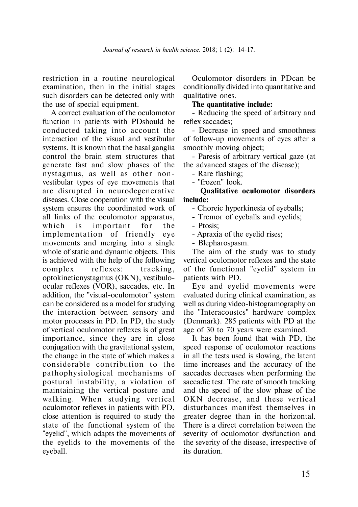restriction in a routine neurological examination, then in the initial stages such disorders can be detected only with the use of special equi pment.

A correct evaluation of the oculomotor function in patients with PDshould be conducted taking into account the interaction of the visual and vestibular systems. It is known that the basal ganglia control the brain stem structures that generate fast and slow phases of the nystagmus, as well as other nonvestibular types of eye movements that are disrupted in neurodegenerative diseases. Close cooperation with the visual system ensures the coordinated work of all links of the oculomotor apparatus, which is important for the implementation of friendly eve movements and merging into a single whole of static and dynamic objects. This is achieved with the help of the following complex reflexes: tracking, optokineticnystagmus (OKN), vestibuloocular reflexes (VOR), saccades, etc. In addition, the "visual-oculomotor" system can be considered as a model for studying the interaction between sensory and motor processes in PD. In PD, the study of vertical oculomotor reflexes is of great importance, since they are in close conjugation with the gravitational system, the change in the state of which makes a considerable contribution to the pa thophy siological mechanisms of postural instability, a violation of maintaining the vertical posture and walking. When studying vertical oculomotor reflexes in patients with PD, close attention is required to study the state of the functional system of the "eyelid", which adapts the movements of the eyelids to the movements of the eyeball.

Oculomotor disorders in PDcan be conditionally divided into quantitative and qualitative ones.

### **The quantitative include:**

- Reducing the speed of arbitrary and reflex saccades;

- Decrease in speed and smoothness of follow-up movements of eyes after a smoothly moving object;

- Paresis of arbitrary vertical gaze (at the advanced stages of the disease);

- Rare flashing;

- "frozen" look.

**Qualitative oculomotor disorders include:**

- Choreic hyperkinesia of eyeballs;

- Tremor of eyeballs and eyelids;

- Ptosis;

- Apraxia of the eyelid rises;

- Blepharospasm.

The aim of the study was to study vertical oculomotor reflexes and the state of the functional "eyelid" system in patients with PD.

Eye and eyelid movements were evaluated during clinical examination, as well as during video-histogramography on the "Interacoustcs" hardware complex (Denmark). 285 patients with PD at the age of 30 to 70 years were examined.

It has been found that with PD, the speed response of oculomotor reactions in all the tests used is slowing, the latent time increases and the accuracy of the saccades decreases when performing the saccadic test. The rate of smooth tracking and the speed of the slow phase of the OKN decrease, and these vertical disturbances manifest themselves in greater degree than in the horizontal. There is a direct correlation between the severity of oculomotor dysfunction and the severity of the disease, irrespective of its duration.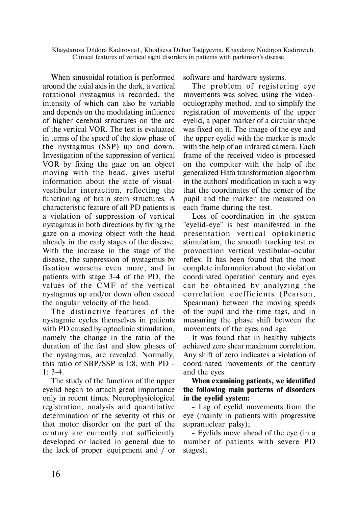When sinusoidal rotation is performed around the axial axis in the dark, a vertical rotational nystagmus is recorded, the intensity of which can also be variable and depends on the modulating influence of higher cerebral structures on the arc of the vertical VOR. The test is evaluated in terms of the speed of the slow phase of the nystagmus (SSP) up and down. Investigation of the suppression of vertical VOR by fixing the gaze on an object moving with the head, gives useful information about the state of visualvestibular interaction, reflecting the functioning of brain stem structures. A characteristic feature of all PD patients is a violation of suppression of vertical nystagmus in both directions by fixing the gaze on a moving object with the head already in the early stages of the disease. With the increase in the stage of the disease, the suppression of nystagmus by fixation worsens even more, and in patients with stage 3-4 of the PD, the values of the CMF of the vertical nystagmus up and/or down often exceed the angular velocity of the head.

The distinctive features of the nystagmic cycles themselves in patients with PD caused by optoclinic stimulation, namely the change in the ratio of the duration of the fast and slow phases of the nystagmus, are revealed. Normally, this ratio of SBP/SSP is 1:8, with PD - 1: 3-4.

The study of the function of the upper eyelid began to attach great importance only in recent times. Neurophysiological registration, analysis and quantitative determination of the severity of this or that motor disorder on the part of the century are currently not sufficiently developed or lacked in general due to the lack of proper equi pment and / or software and hardware systems.

The problem of registering eye movements was solved using the videooculography method, and to simplify the registration of movements of the upper eyelid, a paper marker of a circular shape was fixed on it. The image of the eye and the upper eyelid with the marker is made with the help of an infrared camera. Each frame of the received video is processed on the computer with the help of the generalized Hafa transformation algorithm in the authors' modification in such a way that the coordinates of the center of the pupil and the marker are measured on each frame during the test.

Loss of coordination in the system "eyelid-eye" is best manifested in the presentation vertical optokinetic stimulation, the smooth tracking test or provocation vertical vestibular-ocular reflex. It has been found that the most complete information about the violation coordinated operation century and eyes can be obtained by analyzing the correlation coefficients (Pearson. Spearman) between the moving speeds of the pupil and the time tags, and in measuring the phase shift between the movements of the eyes and age.

It was found that in healthy subjects achieved zero shear maximum correlation. Any shift of zero indicates a violation of coordinated movements of the century and the eyes.

**When examining patients, we identified the following main patterns of disorders in the eyelid system:**

- Lag of eyelid movements from the eye (mainly in patients with progressive supranuclear palsy);

- Eyelids move ahead of the eye (in a number of patients with severe PD stages);